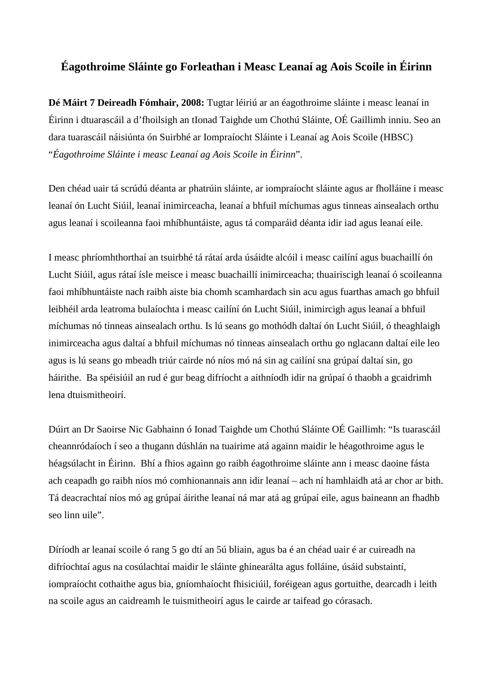# **Éagothroime Sláinte go Forleathan i Measc Leanaí ag Aois Scoile in Éirinn**

**Dé Máirt 7 Deireadh Fómhair, 2008:** Tugtar léiriú ar an éagothroime sláinte i measc leanaí in Éirinn i dtuarascáil a d'fhoilsigh an tIonad Taighde um Chothú Sláinte, OÉ Gaillimh inniu. Seo an dara tuarascáil náisiúnta ón Suirbhé ar Iompraíocht Sláinte i Leanaí ag Aois Scoile (HBSC) "*Éagothroime Sláinte i measc Leanaí ag Aois Scoile in Éirinn*".

Den chéad uair tá scrúdú déanta ar phatrúin sláinte, ar iompraíocht sláinte agus ar fholláine i measc leanaí ón Lucht Siúil, leanaí inimirceacha, leanaí a bhfuil míchumas agus tinneas ainsealach orthu agus leanaí i scoileanna faoi mhíbhuntáiste, agus tá comparáid déanta idir iad agus leanaí eile.

I measc phríomhthorthaí an tsuirbhé tá rátaí arda úsáidte alcóil i measc cailíní agus buachaillí ón Lucht Siúil, agus rátaí ísle meisce i measc buachaillí inimirceacha; thuairiscigh leanaí ó scoileanna faoi mhíbhuntáiste nach raibh aiste bia chomh scamhardach sin acu agus fuarthas amach go bhfuil leibhéil arda leatroma bulaíochta i measc cailíní ón Lucht Siúil, inimircigh agus leanaí a bhfuil míchumas nó tinneas ainsealach orthu. Is lú seans go mothódh daltaí ón Lucht Siúil, ó theaghlaigh inimirceacha agus daltaí a bhfuil míchumas nó tinneas ainsealach orthu go nglacann daltaí eile leo agus is lú seans go mbeadh triúr cairde nó níos mó ná sin ag cailíní sna grúpaí daltaí sin, go háirithe. Ba spéisiúil an rud é gur beag difríocht a aithníodh idir na grúpaí ó thaobh a gcaidrimh lena dtuismitheoirí.

Dúirt an Dr Saoirse Nic Gabhainn ó Ionad Taighde um Chothú Sláinte OÉ Gaillimh: "Is tuarascáil cheannródaíoch í seo a thugann dúshlán na tuairime atá againn maidir le héagothroime agus le héagsúlacht in Éirinn. Bhí a fhios againn go raibh éagothroime sláinte ann i measc daoine fásta ach ceapadh go raibh níos mó comhionannais ann idir leanaí – ach ní hamhlaidh atá ar chor ar bith. Tá deacrachtaí níos mó ag grúpaí áirithe leanaí ná mar atá ag grúpaí eile, agus baineann an fhadhb seo linn uile".

Díríodh ar leanaí scoile ó rang 5 go dtí an 5ú bliain, agus ba é an chéad uair é ar cuireadh na difríochtaí agus na cosúlachtaí maidir le sláinte ghinearálta agus folláine, úsáid substaintí, iompraíocht cothaithe agus bia, gníomhaíocht fhisiciúil, foréigean agus gortuithe, dearcadh i leith na scoile agus an caidreamh le tuismitheoirí agus le cairde ar taifead go córasach.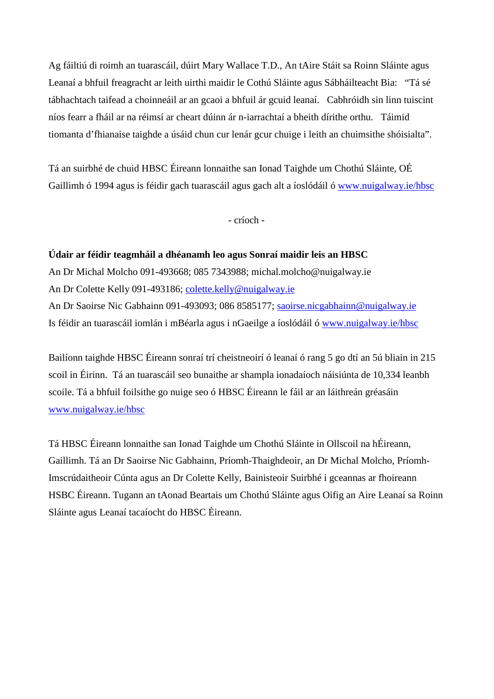Ag fáiltiú di roimh an tuarascáil, dúirt Mary Wallace T.D., An tAire Stáit sa Roinn Sláinte agus Leanaí a bhfuil freagracht ar leith uirthi maidir le Cothú Sláinte agus Sábháilteacht Bia: "Tá sé tábhachtach taifead a choinneáil ar an gcaoi a bhfuil ár gcuid leanaí. Cabhróidh sin linn tuiscint níos fearr a fháil ar na réimsí ar cheart dúinn ár n-iarrachtaí a bheith dírithe orthu. Táimid tiomanta d'fhianaise taighde a úsáid chun cur lenár gcur chuige i leith an chuimsithe shóisialta".

Tá an suirbhé de chuid HBSC Éireann lonnaithe san Ionad Taighde um Chothú Sláinte, OÉ Gaillimh ó 1994 agus is féidir gach tuarascáil agus gach alt a íoslódáil ó [www.nuigalway.ie/hbsc](http://www.nuigalway.ie/hbsc)

- críoch -

# **Údair ar féidir teagmháil a dhéanamh leo agus Sonraí maidir leis an HBSC**

An Dr Michal Molcho 091-493668; 085 7343988; michal.molcho@nuigalway.ie An Dr Colette Kelly 091-493186; [colette.kelly@nuigalway.ie](mailto:colette.kelly@nuigalway.ie) An Dr Saoirse Nic Gabhainn 091-493093; 086 8585177; [saoirse.nicgabhainn@nuigalway.ie](mailto:saoirse.nicgabhainn@nuigalway.ie) Is féidir an tuarascáil iomlán i mBéarla agus i nGaeilge a íoslódáil ó [www.nuigalway.ie/hbsc](http://www.nuigalway.ie/hbsc)

Bailíonn taighde HBSC Éireann sonraí trí cheistneoirí ó leanaí ó rang 5 go dtí an 5ú bliain in 215 scoil in Éirinn. Tá an tuarascáil seo bunaithe ar shampla ionadaíoch náisiúnta de 10,334 leanbh scoile. Tá a bhfuil foilsithe go nuige seo ó HBSC Éireann le fáil ar an láithreán gréasáin [www.nuigalway.ie/hbsc](http://www.nuigalway.ie/hbsc)

Tá HBSC Éireann lonnaithe san Ionad Taighde um Chothú Sláinte in Ollscoil na hÉireann, Gaillimh. Tá an Dr Saoirse Nic Gabhainn, Príomh-Thaighdeoir, an Dr Michal Molcho, Príomh-Imscrúdaitheoir Cúnta agus an Dr Colette Kelly, Bainisteoir Suirbhé i gceannas ar fhoireann HSBC Éireann. Tugann an tAonad Beartais um Chothú Sláinte agus Oifig an Aire Leanaí sa Roinn Sláinte agus Leanaí tacaíocht do HBSC Éireann.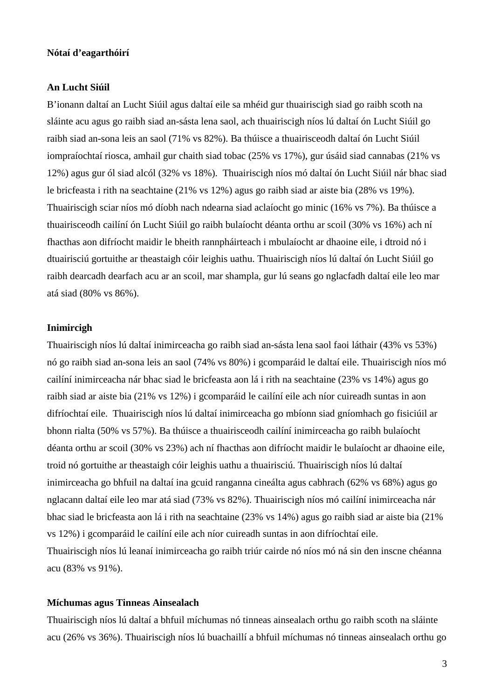## **Nótaí d'eagarthóirí**

#### **An Lucht Siúil**

B'ionann daltaí an Lucht Siúil agus daltaí eile sa mhéid gur thuairiscigh siad go raibh scoth na sláinte acu agus go raibh siad an-sásta lena saol, ach thuairiscigh níos lú daltaí ón Lucht Siúil go raibh siad an-sona leis an saol (71% vs 82%). Ba thúisce a thuairisceodh daltaí ón Lucht Siúil iompraíochtaí riosca, amhail gur chaith siad tobac (25% vs 17%), gur úsáid siad cannabas (21% vs 12%) agus gur ól siad alcól (32% vs 18%). Thuairiscigh níos mó daltaí ón Lucht Siúil nár bhac siad le bricfeasta i rith na seachtaine (21% vs 12%) agus go raibh siad ar aiste bia (28% vs 19%). Thuairiscigh sciar níos mó díobh nach ndearna siad aclaíocht go minic (16% vs 7%). Ba thúisce a thuairisceodh cailíní ón Lucht Siúil go raibh bulaíocht déanta orthu ar scoil (30% vs 16%) ach ní fhacthas aon difríocht maidir le bheith rannpháirteach i mbulaíocht ar dhaoine eile, i dtroid nó i dtuairisciú gortuithe ar theastaigh cóir leighis uathu. Thuairiscigh níos lú daltaí ón Lucht Siúil go raibh dearcadh dearfach acu ar an scoil, mar shampla, gur lú seans go nglacfadh daltaí eile leo mar atá siad (80% vs 86%).

## **Inimircigh**

Thuairiscigh níos lú daltaí inimirceacha go raibh siad an-sásta lena saol faoi láthair (43% vs 53%) nó go raibh siad an-sona leis an saol (74% vs 80%) i gcomparáid le daltaí eile. Thuairiscigh níos mó cailíní inimirceacha nár bhac siad le bricfeasta aon lá i rith na seachtaine (23% vs 14%) agus go raibh siad ar aiste bia (21% vs 12%) i gcomparáid le cailíní eile ach níor cuireadh suntas in aon difríochtaí eile. Thuairiscigh níos lú daltaí inimirceacha go mbíonn siad gníomhach go fisiciúil ar bhonn rialta (50% vs 57%). Ba thúisce a thuairisceodh cailíní inimirceacha go raibh bulaíocht déanta orthu ar scoil (30% vs 23%) ach ní fhacthas aon difríocht maidir le bulaíocht ar dhaoine eile, troid nó gortuithe ar theastaigh cóir leighis uathu a thuairisciú. Thuairiscigh níos lú daltaí inimirceacha go bhfuil na daltaí ina gcuid ranganna cineálta agus cabhrach (62% vs 68%) agus go nglacann daltaí eile leo mar atá siad (73% vs 82%). Thuairiscigh níos mó cailíní inimirceacha nár bhac siad le bricfeasta aon lá i rith na seachtaine (23% vs 14%) agus go raibh siad ar aiste bia (21% vs 12%) i gcomparáid le cailíní eile ach níor cuireadh suntas in aon difríochtaí eile. Thuairiscigh níos lú leanaí inimirceacha go raibh triúr cairde nó níos mó ná sin den inscne chéanna acu (83% vs 91%).

#### **Míchumas agus Tinneas Ainsealach**

Thuairiscigh níos lú daltaí a bhfuil míchumas nó tinneas ainsealach orthu go raibh scoth na sláinte acu (26% vs 36%). Thuairiscigh níos lú buachaillí a bhfuil míchumas nó tinneas ainsealach orthu go